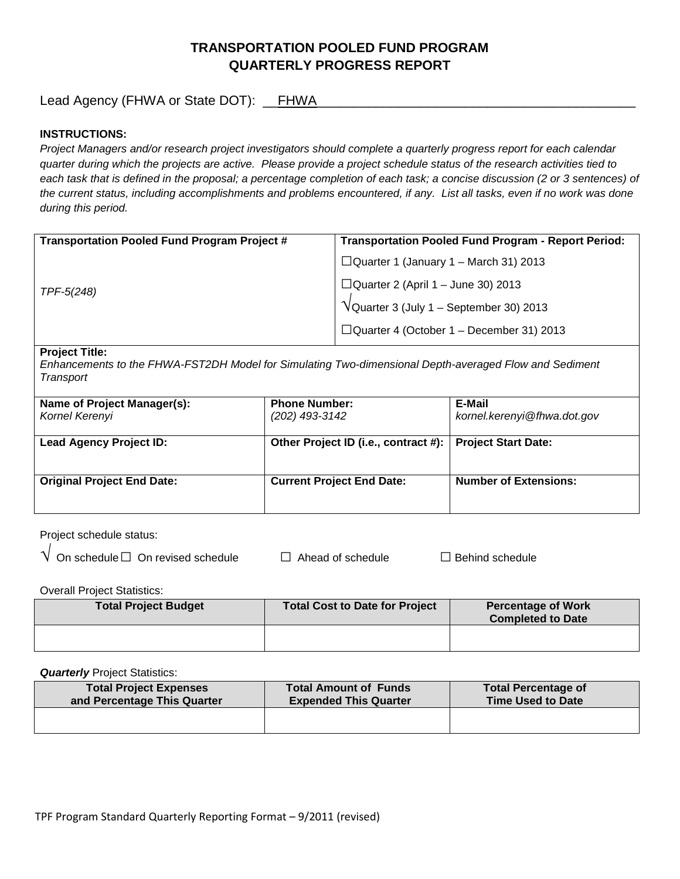## **TRANSPORTATION POOLED FUND PROGRAM QUARTERLY PROGRESS REPORT**

Lead Agency (FHWA or State DOT): \_\_FHWA

## **INSTRUCTIONS:**

*Project Managers and/or research project investigators should complete a quarterly progress report for each calendar quarter during which the projects are active. Please provide a project schedule status of the research activities tied to*  each task that is defined in the proposal; a percentage completion of each task; a concise discussion (2 or 3 sentences) of *the current status, including accomplishments and problems encountered, if any. List all tasks, even if no work was done during this period.*

| <b>Transportation Pooled Fund Program Project #</b> | <b>Transportation Pooled Fund Program - Report Period:</b> |
|-----------------------------------------------------|------------------------------------------------------------|
|                                                     | $\Box$ Quarter 1 (January 1 – March 31) 2013               |
| TPF-5(248)                                          | $\Box$ Quarter 2 (April 1 – June 30) 2013                  |
|                                                     |                                                            |
|                                                     | $\Box$ Quarter 4 (October 1 – December 31) 2013            |
|                                                     | $\sqrt{\text{Quarter 3}}$ (July 1 – September 30) 2013     |

## **Project Title:**

*Enhancements to the FHWA-FST2DH Model for Simulating Two-dimensional Depth-averaged Flow and Sediment Transport*

| Name of Project Manager(s):<br>Kornel Kerenyi | <b>Phone Number:</b><br>(202) 493-3142 | E-Mail<br>kornel.kerenyi@fhwa.dot.gov |
|-----------------------------------------------|----------------------------------------|---------------------------------------|
| <b>Lead Agency Project ID:</b>                | Other Project ID (i.e., contract #):   | <b>Project Start Date:</b>            |
| <b>Original Project End Date:</b>             | <b>Current Project End Date:</b>       | <b>Number of Extensions:</b>          |

Project schedule status:<br> $\sqrt{\frac{1}{1-\frac{1}{2}}}$ 

| $\sf{V}\,$ On schedule $\Box\,$ On revised schedul $\sf{s}$ |
|-------------------------------------------------------------|
|-------------------------------------------------------------|

e □ Ahead of schedule □ Behind schedule

Overall Project Statistics:

| <b>Total Project Budget</b> | <b>Total Cost to Date for Project</b> | <b>Percentage of Work</b><br><b>Completed to Date</b> |
|-----------------------------|---------------------------------------|-------------------------------------------------------|
|                             |                                       |                                                       |

**Quarterly** Project Statistics:

| <b>Total Project Expenses</b> | <b>Total Amount of Funds</b> | <b>Total Percentage of</b> |
|-------------------------------|------------------------------|----------------------------|
| and Percentage This Quarter   | <b>Expended This Quarter</b> | <b>Time Used to Date</b>   |
|                               |                              |                            |